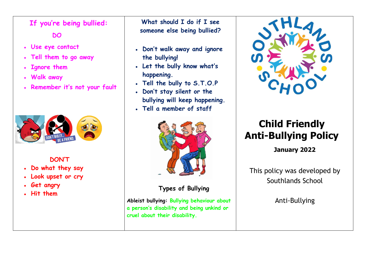## **If you're being bullied:**

### **DO**

- **Use eye contact**
- **Tell them to go away**
- **Ignore them**
- **Walk away**
- **Remember it's not your fault**



#### **DON'T**

- **Do what they say**
- **Look upset or cry**
- **Get angry**
- **Hit them**

**What should I do if I see someone else being bullied?**

- **Don't walk away and ignore the bullying!**
- **Let the bully know what's happening.**
- **Tell the bully to S.T.O.P**
- **Don't stay silent or the bullying will keep happening.**
- **Tell a member of staff**



## **Types of Bullying**

**Ableist bullying: Bullying behaviour about a person's disability and being unkind or cruel about their disability.**



# **Child Friendly Anti-Bullying Policy**

**January 2022**

This policy was developed by Southlands School

Anti-Bullying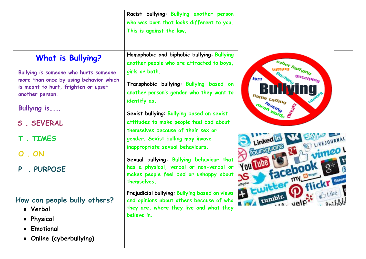|                                                                                                                                                                                                                                                         | Racist bullying: Bullying another person<br>who was born that looks different to you.<br>This is against the law,                                                                                                                                                                                                                                                                                                                                                                                                                                        |                                                                                                                                                                                                                                                            |
|---------------------------------------------------------------------------------------------------------------------------------------------------------------------------------------------------------------------------------------------------------|----------------------------------------------------------------------------------------------------------------------------------------------------------------------------------------------------------------------------------------------------------------------------------------------------------------------------------------------------------------------------------------------------------------------------------------------------------------------------------------------------------------------------------------------------------|------------------------------------------------------------------------------------------------------------------------------------------------------------------------------------------------------------------------------------------------------------|
| <b>What is Bullying?</b><br>Bullying is someone who hurts someone<br>more than once by using behavior which<br>is meant to hurt, frighten or upset<br>another person.<br><b>Bullying is</b><br>S . SEVERAL<br><b>T. TIMES</b><br>. ON<br>. PURPOSE<br>P | Homophobic and biphobic bullying: Bullying<br>another people who are attracted to boys,<br>girls or both.<br>Transphobic bullying: Bullying based on<br>another person's gender who they want to<br>identify as.<br>Sexist bullying: Bullying based on sexist<br>attitudes to make people feel bad about<br>themselves because of their sex or<br>gender. Sexist bulling may invove<br>inappropriate sexual behaviours.<br>Sexual bullying: Bullying behaviour that<br>has a physical, verbal or non-verbal or<br>makes people feel bad or unhappy about | cyber bullying<br>gossiping<br><b>Ties</b><br>n <sub>ame calling</sub><br>mean words P<br><b>Septembre</b><br>A DE LIVEJOURNAL<br>CourseMere<br>vimeo!<br>facebook<br>$\mathcal{S}$<br>Ewitter my B<br>O flickr Baham<br>tumble velp <sup>32</sup> anilyou |
| How can people bully others?<br>• Verbal<br>• Physical<br>• Emotional<br>• Online (cyberbullying)                                                                                                                                                       | themselves.<br>Prejudicial bullying: Bullying based on views<br>and opinions about others because of who<br>they are, where they live and what they<br>believe in.                                                                                                                                                                                                                                                                                                                                                                                       |                                                                                                                                                                                                                                                            |